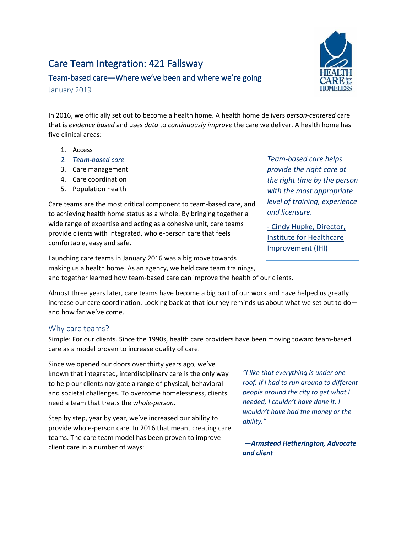# Care Team Integration: 421 Fallsway



# Team-based care—Where we've been and where we're going

January 2019

In 2016, we officially set out to become a health home. A health home delivers *person-centered* care that is *evidence based* and uses *data* to *continuously improve* the care we deliver. A health home has five clinical areas:

- 1. Access
- *2. Team-based care*
- 3. Care management
- 4. Care coordination
- 5. Population health

Care teams are the most critical component to team-based care, and to achieving health home status as a whole. By bringing together a wide range of expertise and acting as a cohesive unit, care teams provide clients with integrated, whole-person care that feels comfortable, easy and safe.

*Team-based care helps provide the right care at the right time by the person with the most appropriate level of training, experience and licensure.*

- [Cindy Hupke, Director,](http://www.ihi.org/communities/blogs/_layouts/15/ihi/community/blog/itemview.aspx?List=7d1126ec-8f63-4a3b-9926-c44ea3036813&ID=137)  [Institute for Healthcare](http://www.ihi.org/communities/blogs/_layouts/15/ihi/community/blog/itemview.aspx?List=7d1126ec-8f63-4a3b-9926-c44ea3036813&ID=137)  [Improvement \(IHI\)](http://www.ihi.org/communities/blogs/_layouts/15/ihi/community/blog/itemview.aspx?List=7d1126ec-8f63-4a3b-9926-c44ea3036813&ID=137)

Launching care teams in January 2016 was a big move towards making us a health home. As an agency, we held care team trainings, and together learned how team-based care can improve the health of our clients.

Almost three years later, care teams have become a big part of our work and have helped us greatly increase our care coordination. Looking back at that journey reminds us about what we set out to do and how far we've come.

## Why care teams?

Simple: For our clients. Since the 1990s, health care providers have been moving toward team-based care as a model proven to increase quality of care.

Since we opened our doors over thirty years ago, we've known that integrated, interdisciplinary care is the only way to help our clients navigate a range of physical, behavioral and societal challenges. To overcome homelessness, clients need a team that treats the *whole-person*.

Step by step, year by year, we've increased our ability to provide whole-person care. In 2016 that meant creating care teams. The care team model has been proven to improve client care in a number of ways:

*"I like that everything is under one roof. If I had to run around to different people around the city to get what I needed, I couldn't have done it. I wouldn't have had the money or the ability."* 

*—Armstead Hetherington, Advocate and client*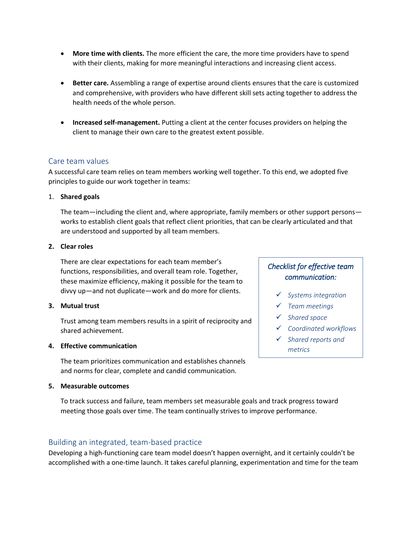- **More time with clients.** The more efficient the care, the more time providers have to spend with their clients, making for more meaningful interactions and increasing client access.
- **Better care.** Assembling a range of expertise around clients ensures that the care is customized and comprehensive, with providers who have different skill sets acting together to address the health needs of the whole person.
- **Increased self-management.** Putting a client at the center focuses providers on helping the client to manage their own care to the greatest extent possible.

## Care team values

A successful care team relies on team members working well together. To this end, we adopted five principles to guide our work together in teams:

#### 1. **Shared goals**

The team—including the client and, where appropriate, family members or other support persons works to establish client goals that reflect client priorities, that can be clearly articulated and that are understood and supported by all team members.

## **2. Clear roles**

There are clear expectations for each team member's functions, responsibilities, and overall team role. Together, these maximize efficiency, making it possible for the team to divvy up—and not duplicate—work and do more for clients.

#### **3. Mutual trust**

Trust among team members results in a spirit of reciprocity and shared achievement.

#### **4. Effective communication**

The team prioritizes communication and establishes channels and norms for clear, complete and candid communication.

#### **5. Measurable outcomes**

To track success and failure, team members set measurable goals and track progress toward meeting those goals over time. The team continually strives to improve performance.

## Building an integrated, team-based practice

Developing a high-functioning care team model doesn't happen overnight, and it certainly couldn't be accomplished with a one-time launch. It takes careful planning, experimentation and time for the team

## *Checklist for effective team communication:*

- *Systems integration*
- *Team meetings*
- *Shared space*
- *Coordinated workflows*
- *Shared reports and metrics*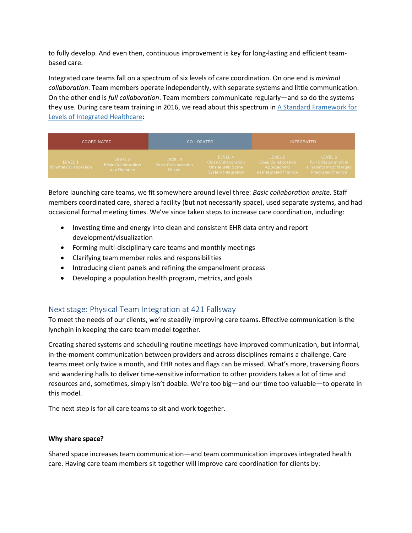to fully develop. And even then, continuous improvement is key for long-lasting and efficient teambased care.

Integrated care teams fall on a spectrum of six levels of care coordination. On one end is *minimal collaboration*. Team members operate independently, with separate systems and little communication. On the other end is *full collaboration*. Team members communicate regularly—and so do the systems they use. During care team training in 2016, we read about this spectrum in A Standard Framework for [Levels of Integrated Healthcare:](https://www.integration.samhsa.gov/integrated-care-models/A_Standard_Framework_for_Levels_of_Integrated_Healthcare.pdf)

| <b>COORDINATED</b>                |                                                        | CO LOCATED                                      |                                                                          | <b>INTEGRATED</b>                                                       |                                                                                        |
|-----------------------------------|--------------------------------------------------------|-------------------------------------------------|--------------------------------------------------------------------------|-------------------------------------------------------------------------|----------------------------------------------------------------------------------------|
| LEVEL 1.<br>Minimal Collaboration | LEVEL 2<br><b>Basic Collaboration</b><br>at a Distance | LEVEL 3<br><b>Basic Collaboration</b><br>Onsite | LEVEL 4<br>Close Collaboration<br>Onsite with Some<br>System Integration | LEVEL 5<br>Close Collaboration<br>Approaching<br>an Integrated Practice | LEVEL 6<br>Full Collaboration in<br>a Transformed/Merged<br><b>Integrated Practice</b> |

Before launching care teams, we fit somewhere around level three: *Basic collaboration onsite*. Staff members coordinated care, shared a facility (but not necessarily space), used separate systems, and had occasional formal meeting times. We've since taken steps to increase care coordination, including:

- Investing time and energy into clean and consistent EHR data entry and report development/visualization
- Forming multi-disciplinary care teams and monthly meetings
- Clarifying team member roles and responsibilities
- Introducing client panels and refining the empanelment process
- Developing a population health program, metrics, and goals

## Next stage: Physical Team Integration at 421 Fallsway

To meet the needs of our clients, we're steadily improving care teams. Effective communication is the lynchpin in keeping the care team model together.

Creating shared systems and scheduling routine meetings have improved communication, but informal, in-the-moment communication between providers and across disciplines remains a challenge. Care teams meet only twice a month, and EHR notes and flags can be missed. What's more, traversing floors and wandering halls to deliver time-sensitive information to other providers takes a lot of time and resources and, sometimes, simply isn't doable. We're too big—and our time too valuable—to operate in this model.

The next step is for all care teams to sit and work together.

#### **Why share space?**

Shared space increases team communication—and team communication improves integrated health care. Having care team members sit together will improve care coordination for clients by: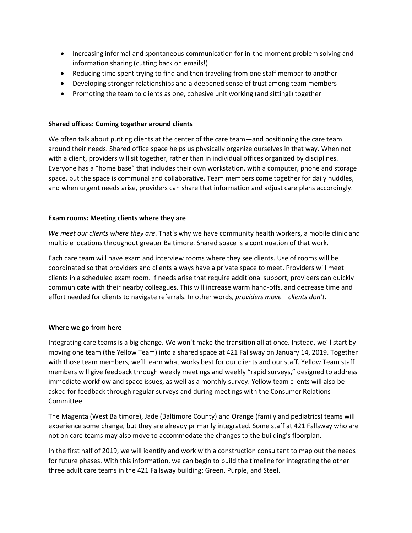- Increasing informal and spontaneous communication for in-the-moment problem solving and information sharing (cutting back on emails!)
- Reducing time spent trying to find and then traveling from one staff member to another
- Developing stronger relationships and a deepened sense of trust among team members
- Promoting the team to clients as one, cohesive unit working (and sitting!) together

#### **Shared offices: Coming together around clients**

We often talk about putting clients at the center of the care team—and positioning the care team around their needs. Shared office space helps us physically organize ourselves in that way. When not with a client, providers will sit together, rather than in individual offices organized by disciplines. Everyone has a "home base" that includes their own workstation, with a computer, phone and storage space, but the space is communal and collaborative. Team members come together for daily huddles, and when urgent needs arise, providers can share that information and adjust care plans accordingly.

#### **Exam rooms: Meeting clients where they are**

*We meet our clients where they are*. That's why we have community health workers, a mobile clinic and multiple locations throughout greater Baltimore. Shared space is a continuation of that work.

Each care team will have exam and interview rooms where they see clients. Use of rooms will be coordinated so that providers and clients always have a private space to meet. Providers will meet clients in a scheduled exam room. If needs arise that require additional support, providers can quickly communicate with their nearby colleagues. This will increase warm hand-offs, and decrease time and effort needed for clients to navigate referrals. In other words, *providers move—clients don't.*

#### **Where we go from here**

Integrating care teams is a big change. We won't make the transition all at once. Instead, we'll start by moving one team (the Yellow Team) into a shared space at 421 Fallsway on January 14, 2019. Together with those team members, we'll learn what works best for our clients and our staff. Yellow Team staff members will give feedback through weekly meetings and weekly "rapid surveys," designed to address immediate workflow and space issues, as well as a monthly survey. Yellow team clients will also be asked for feedback through regular surveys and during meetings with the Consumer Relations Committee.

The Magenta (West Baltimore), Jade (Baltimore County) and Orange (family and pediatrics) teams will experience some change, but they are already primarily integrated. Some staff at 421 Fallsway who are not on care teams may also move to accommodate the changes to the building's floorplan.

In the first half of 2019, we will identify and work with a construction consultant to map out the needs for future phases. With this information, we can begin to build the timeline for integrating the other three adult care teams in the 421 Fallsway building: Green, Purple, and Steel.